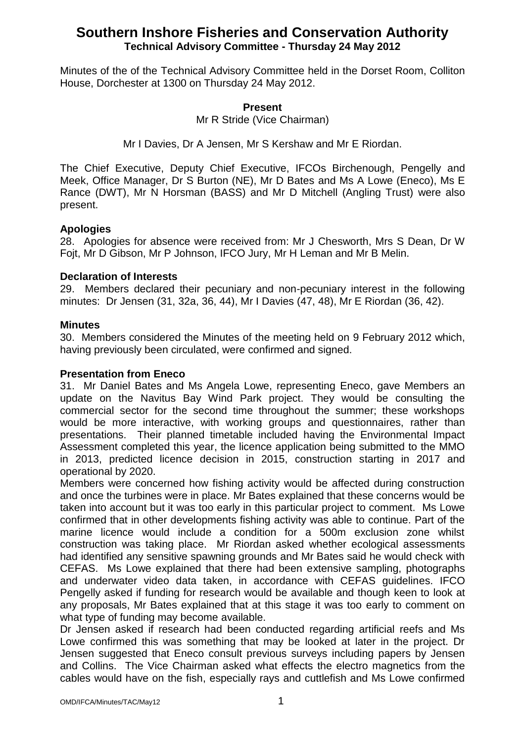Minutes of the of the Technical Advisory Committee held in the Dorset Room, Colliton House, Dorchester at 1300 on Thursday 24 May 2012.

#### **Present**

Mr R Stride (Vice Chairman)

Mr I Davies, Dr A Jensen, Mr S Kershaw and Mr E Riordan.

The Chief Executive, Deputy Chief Executive, IFCOs Birchenough, Pengelly and Meek, Office Manager, Dr S Burton (NE), Mr D Bates and Ms A Lowe (Eneco), Ms E Rance (DWT), Mr N Horsman (BASS) and Mr D Mitchell (Angling Trust) were also present.

## **Apologies**

28. Apologies for absence were received from: Mr J Chesworth, Mrs S Dean, Dr W Fojt, Mr D Gibson, Mr P Johnson, IFCO Jury, Mr H Leman and Mr B Melin.

## **Declaration of Interests**

29. Members declared their pecuniary and non-pecuniary interest in the following minutes: Dr Jensen (31, 32a, 36, 44), Mr I Davies (47, 48), Mr E Riordan (36, 42).

#### **Minutes**

30. Members considered the Minutes of the meeting held on 9 February 2012 which, having previously been circulated, were confirmed and signed.

#### **Presentation from Eneco**

31. Mr Daniel Bates and Ms Angela Lowe, representing Eneco, gave Members an update on the Navitus Bay Wind Park project. They would be consulting the commercial sector for the second time throughout the summer; these workshops would be more interactive, with working groups and questionnaires, rather than presentations. Their planned timetable included having the Environmental Impact Assessment completed this year, the licence application being submitted to the MMO in 2013, predicted licence decision in 2015, construction starting in 2017 and operational by 2020.

Members were concerned how fishing activity would be affected during construction and once the turbines were in place. Mr Bates explained that these concerns would be taken into account but it was too early in this particular project to comment. Ms Lowe confirmed that in other developments fishing activity was able to continue. Part of the marine licence would include a condition for a 500m exclusion zone whilst construction was taking place. Mr Riordan asked whether ecological assessments had identified any sensitive spawning grounds and Mr Bates said he would check with CEFAS. Ms Lowe explained that there had been extensive sampling, photographs and underwater video data taken, in accordance with CEFAS guidelines. IFCO Pengelly asked if funding for research would be available and though keen to look at any proposals, Mr Bates explained that at this stage it was too early to comment on what type of funding may become available.

Dr Jensen asked if research had been conducted regarding artificial reefs and Ms Lowe confirmed this was something that may be looked at later in the project. Dr Jensen suggested that Eneco consult previous surveys including papers by Jensen and Collins. The Vice Chairman asked what effects the electro magnetics from the cables would have on the fish, especially rays and cuttlefish and Ms Lowe confirmed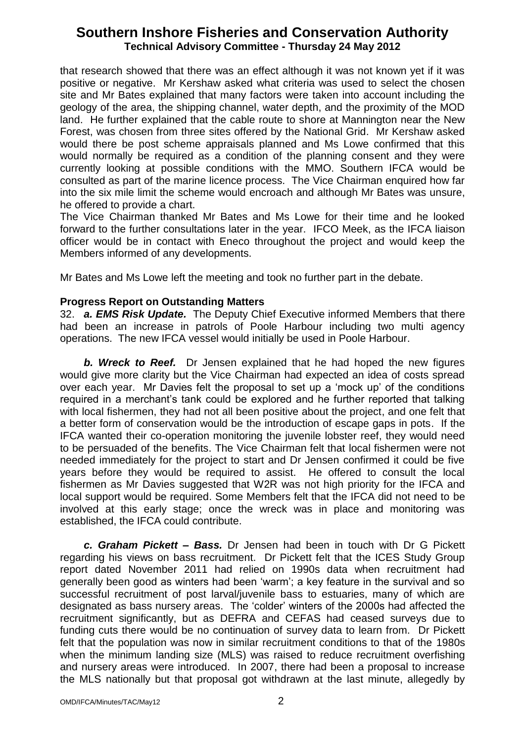that research showed that there was an effect although it was not known yet if it was positive or negative. Mr Kershaw asked what criteria was used to select the chosen site and Mr Bates explained that many factors were taken into account including the geology of the area, the shipping channel, water depth, and the proximity of the MOD land. He further explained that the cable route to shore at Mannington near the New Forest, was chosen from three sites offered by the National Grid. Mr Kershaw asked would there be post scheme appraisals planned and Ms Lowe confirmed that this would normally be required as a condition of the planning consent and they were currently looking at possible conditions with the MMO. Southern IFCA would be consulted as part of the marine licence process. The Vice Chairman enquired how far into the six mile limit the scheme would encroach and although Mr Bates was unsure, he offered to provide a chart.

The Vice Chairman thanked Mr Bates and Ms Lowe for their time and he looked forward to the further consultations later in the year. IFCO Meek, as the IFCA liaison officer would be in contact with Eneco throughout the project and would keep the Members informed of any developments.

Mr Bates and Ms Lowe left the meeting and took no further part in the debate.

## **Progress Report on Outstanding Matters**

32. *a. EMS Risk Update.* The Deputy Chief Executive informed Members that there had been an increase in patrols of Poole Harbour including two multi agency operations. The new IFCA vessel would initially be used in Poole Harbour.

*b. Wreck to Reef.* Dr Jensen explained that he had hoped the new figures would give more clarity but the Vice Chairman had expected an idea of costs spread over each year. Mr Davies felt the proposal to set up a 'mock up' of the conditions required in a merchant's tank could be explored and he further reported that talking with local fishermen, they had not all been positive about the project, and one felt that a better form of conservation would be the introduction of escape gaps in pots. If the IFCA wanted their co-operation monitoring the juvenile lobster reef, they would need to be persuaded of the benefits. The Vice Chairman felt that local fishermen were not needed immediately for the project to start and Dr Jensen confirmed it could be five years before they would be required to assist. He offered to consult the local fishermen as Mr Davies suggested that W2R was not high priority for the IFCA and local support would be required. Some Members felt that the IFCA did not need to be involved at this early stage; once the wreck was in place and monitoring was established, the IFCA could contribute.

*c. Graham Pickett – Bass.* Dr Jensen had been in touch with Dr G Pickett regarding his views on bass recruitment. Dr Pickett felt that the ICES Study Group report dated November 2011 had relied on 1990s data when recruitment had generally been good as winters had been 'warm'; a key feature in the survival and so successful recruitment of post larval/juvenile bass to estuaries, many of which are designated as bass nursery areas. The 'colder' winters of the 2000s had affected the recruitment significantly, but as DEFRA and CEFAS had ceased surveys due to funding cuts there would be no continuation of survey data to learn from. Dr Pickett felt that the population was now in similar recruitment conditions to that of the 1980s when the minimum landing size (MLS) was raised to reduce recruitment overfishing and nursery areas were introduced. In 2007, there had been a proposal to increase the MLS nationally but that proposal got withdrawn at the last minute, allegedly by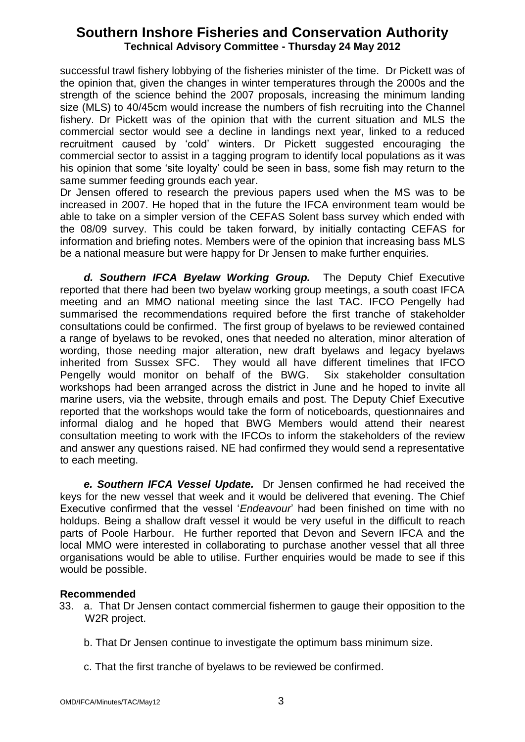successful trawl fishery lobbying of the fisheries minister of the time. Dr Pickett was of the opinion that, given the changes in winter temperatures through the 2000s and the strength of the science behind the 2007 proposals, increasing the minimum landing size (MLS) to 40/45cm would increase the numbers of fish recruiting into the Channel fishery. Dr Pickett was of the opinion that with the current situation and MLS the commercial sector would see a decline in landings next year, linked to a reduced recruitment caused by 'cold' winters. Dr Pickett suggested encouraging the commercial sector to assist in a tagging program to identify local populations as it was his opinion that some 'site loyalty' could be seen in bass, some fish may return to the same summer feeding grounds each year.

Dr Jensen offered to research the previous papers used when the MS was to be increased in 2007. He hoped that in the future the IFCA environment team would be able to take on a simpler version of the CEFAS Solent bass survey which ended with the 08/09 survey. This could be taken forward, by initially contacting CEFAS for information and briefing notes. Members were of the opinion that increasing bass MLS be a national measure but were happy for Dr Jensen to make further enquiries.

*d. Southern IFCA Byelaw Working Group.* The Deputy Chief Executive reported that there had been two byelaw working group meetings, a south coast IFCA meeting and an MMO national meeting since the last TAC. IFCO Pengelly had summarised the recommendations required before the first tranche of stakeholder consultations could be confirmed. The first group of byelaws to be reviewed contained a range of byelaws to be revoked, ones that needed no alteration, minor alteration of wording, those needing major alteration, new draft byelaws and legacy byelaws inherited from Sussex SFC. They would all have different timelines that IFCO Pengelly would monitor on behalf of the BWG. Six stakeholder consultation workshops had been arranged across the district in June and he hoped to invite all marine users, via the website, through emails and post. The Deputy Chief Executive reported that the workshops would take the form of noticeboards, questionnaires and informal dialog and he hoped that BWG Members would attend their nearest consultation meeting to work with the IFCOs to inform the stakeholders of the review and answer any questions raised. NE had confirmed they would send a representative to each meeting.

*e. Southern IFCA Vessel Update.* Dr Jensen confirmed he had received the keys for the new vessel that week and it would be delivered that evening. The Chief Executive confirmed that the vessel '*Endeavour*' had been finished on time with no holdups. Being a shallow draft vessel it would be very useful in the difficult to reach parts of Poole Harbour. He further reported that Devon and Severn IFCA and the local MMO were interested in collaborating to purchase another vessel that all three organisations would be able to utilise. Further enquiries would be made to see if this would be possible.

## **Recommended**

- 33. a. That Dr Jensen contact commercial fishermen to gauge their opposition to the W<sub>2R</sub> project.
	- b. That Dr Jensen continue to investigate the optimum bass minimum size.
	- c. That the first tranche of byelaws to be reviewed be confirmed.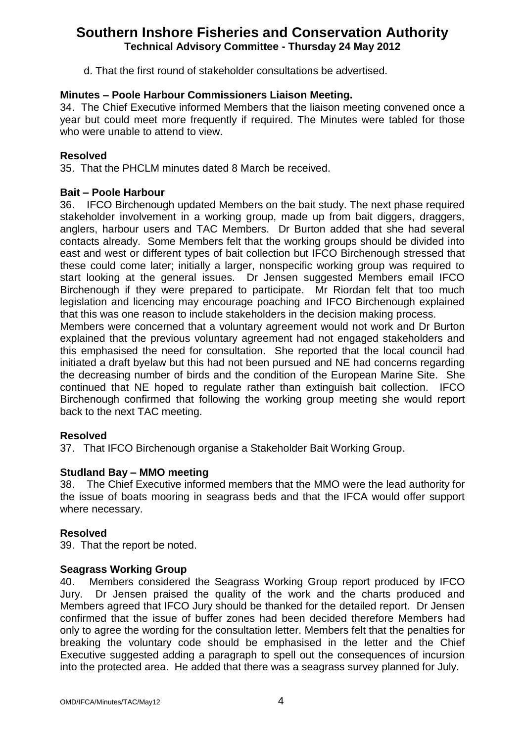d. That the first round of stakeholder consultations be advertised.

## **Minutes – Poole Harbour Commissioners Liaison Meeting.**

34. The Chief Executive informed Members that the liaison meeting convened once a year but could meet more frequently if required. The Minutes were tabled for those who were unable to attend to view.

## **Resolved**

35. That the PHCLM minutes dated 8 March be received.

## **Bait – Poole Harbour**

36. IFCO Birchenough updated Members on the bait study. The next phase required stakeholder involvement in a working group, made up from bait diggers, draggers, anglers, harbour users and TAC Members. Dr Burton added that she had several contacts already. Some Members felt that the working groups should be divided into east and west or different types of bait collection but IFCO Birchenough stressed that these could come later; initially a larger, nonspecific working group was required to start looking at the general issues. Dr Jensen suggested Members email IFCO Birchenough if they were prepared to participate. Mr Riordan felt that too much legislation and licencing may encourage poaching and IFCO Birchenough explained that this was one reason to include stakeholders in the decision making process.

Members were concerned that a voluntary agreement would not work and Dr Burton explained that the previous voluntary agreement had not engaged stakeholders and this emphasised the need for consultation. She reported that the local council had initiated a draft byelaw but this had not been pursued and NE had concerns regarding the decreasing number of birds and the condition of the European Marine Site. She continued that NE hoped to regulate rather than extinguish bait collection. IFCO Birchenough confirmed that following the working group meeting she would report back to the next TAC meeting.

## **Resolved**

37. That IFCO Birchenough organise a Stakeholder Bait Working Group.

## **Studland Bay – MMO meeting**

38. The Chief Executive informed members that the MMO were the lead authority for the issue of boats mooring in seagrass beds and that the IFCA would offer support where necessary.

## **Resolved**

39. That the report be noted.

#### **Seagrass Working Group**

40. Members considered the Seagrass Working Group report produced by IFCO Jury. Dr Jensen praised the quality of the work and the charts produced and Members agreed that IFCO Jury should be thanked for the detailed report. Dr Jensen confirmed that the issue of buffer zones had been decided therefore Members had only to agree the wording for the consultation letter. Members felt that the penalties for breaking the voluntary code should be emphasised in the letter and the Chief Executive suggested adding a paragraph to spell out the consequences of incursion into the protected area. He added that there was a seagrass survey planned for July.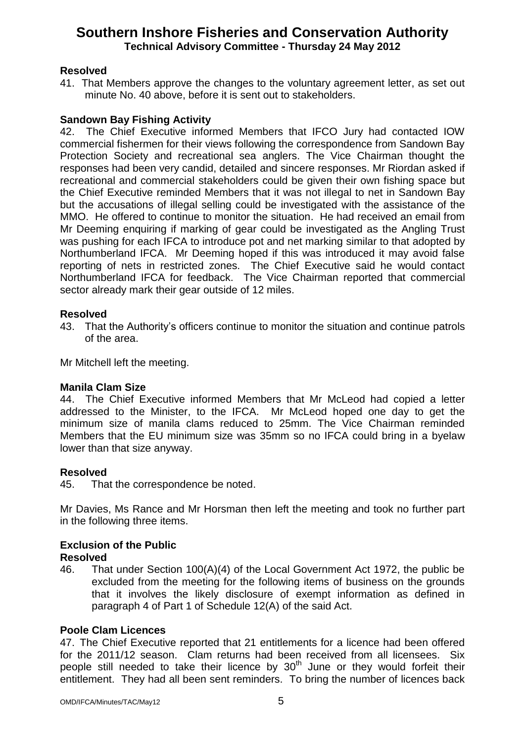## **Resolved**

41. That Members approve the changes to the voluntary agreement letter, as set out minute No. 40 above, before it is sent out to stakeholders.

## **Sandown Bay Fishing Activity**

42. The Chief Executive informed Members that IFCO Jury had contacted IOW commercial fishermen for their views following the correspondence from Sandown Bay Protection Society and recreational sea anglers. The Vice Chairman thought the responses had been very candid, detailed and sincere responses. Mr Riordan asked if recreational and commercial stakeholders could be given their own fishing space but the Chief Executive reminded Members that it was not illegal to net in Sandown Bay but the accusations of illegal selling could be investigated with the assistance of the MMO. He offered to continue to monitor the situation. He had received an email from Mr Deeming enquiring if marking of gear could be investigated as the Angling Trust was pushing for each IFCA to introduce pot and net marking similar to that adopted by Northumberland IFCA. Mr Deeming hoped if this was introduced it may avoid false reporting of nets in restricted zones. The Chief Executive said he would contact Northumberland IFCA for feedback. The Vice Chairman reported that commercial sector already mark their gear outside of 12 miles.

## **Resolved**

43. That the Authority's officers continue to monitor the situation and continue patrols of the area.

Mr Mitchell left the meeting.

## **Manila Clam Size**

44. The Chief Executive informed Members that Mr McLeod had copied a letter addressed to the Minister, to the IFCA. Mr McLeod hoped one day to get the minimum size of manila clams reduced to 25mm. The Vice Chairman reminded Members that the EU minimum size was 35mm so no IFCA could bring in a byelaw lower than that size anyway.

## **Resolved**

45. That the correspondence be noted.

Mr Davies, Ms Rance and Mr Horsman then left the meeting and took no further part in the following three items.

#### **Exclusion of the Public Resolved**

46. That under Section 100(A)(4) of the Local Government Act 1972, the public be excluded from the meeting for the following items of business on the grounds that it involves the likely disclosure of exempt information as defined in paragraph 4 of Part 1 of Schedule 12(A) of the said Act.

## **Poole Clam Licences**

47. The Chief Executive reported that 21 entitlements for a licence had been offered for the 2011/12 season. Clam returns had been received from all licensees. Six people still needed to take their licence by  $30<sup>th</sup>$  June or they would forfeit their entitlement. They had all been sent reminders. To bring the number of licences back